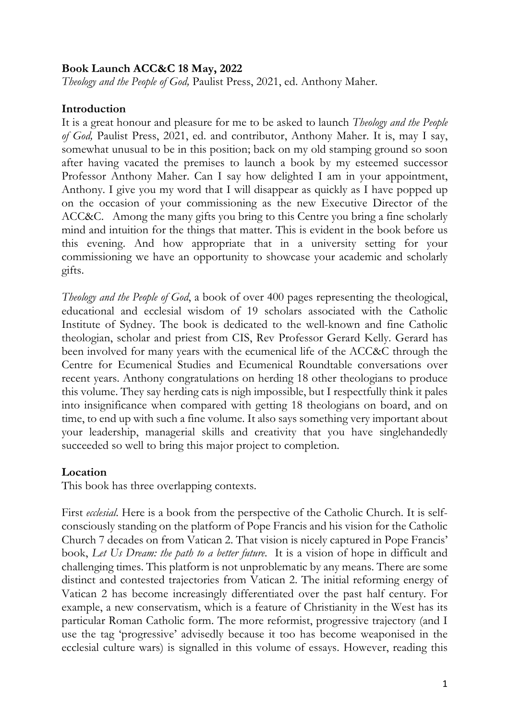# **Book Launch ACC&C 18 May, 2022**

*Theology and the People of God,* Paulist Press, 2021, ed. Anthony Maher.

### **Introduction**

It is a great honour and pleasure for me to be asked to launch *Theology and the People of God,* Paulist Press, 2021, ed. and contributor, Anthony Maher. It is, may I say, somewhat unusual to be in this position; back on my old stamping ground so soon after having vacated the premises to launch a book by my esteemed successor Professor Anthony Maher. Can I say how delighted I am in your appointment, Anthony. I give you my word that I will disappear as quickly as I have popped up on the occasion of your commissioning as the new Executive Director of the ACC&C. Among the many gifts you bring to this Centre you bring a fine scholarly mind and intuition for the things that matter. This is evident in the book before us this evening. And how appropriate that in a university setting for your commissioning we have an opportunity to showcase your academic and scholarly gifts.

*Theology and the People of God*, a book of over 400 pages representing the theological, educational and ecclesial wisdom of 19 scholars associated with the Catholic Institute of Sydney. The book is dedicated to the well-known and fine Catholic theologian, scholar and priest from CIS, Rev Professor Gerard Kelly. Gerard has been involved for many years with the ecumenical life of the ACC&C through the Centre for Ecumenical Studies and Ecumenical Roundtable conversations over recent years. Anthony congratulations on herding 18 other theologians to produce this volume. They say herding cats is nigh impossible, but I respectfully think it pales into insignificance when compared with getting 18 theologians on board, and on time, to end up with such a fine volume. It also says something very important about your leadership, managerial skills and creativity that you have singlehandedly succeeded so well to bring this major project to completion.

# **Location**

This book has three overlapping contexts.

First *ecclesial*. Here is a book from the perspective of the Catholic Church. It is selfconsciously standing on the platform of Pope Francis and his vision for the Catholic Church 7 decades on from Vatican 2. That vision is nicely captured in Pope Francis' book, *Let Us Dream: the path to a better future*. It is a vision of hope in difficult and challenging times. This platform is not unproblematic by any means. There are some distinct and contested trajectories from Vatican 2. The initial reforming energy of Vatican 2 has become increasingly differentiated over the past half century. For example, a new conservatism, which is a feature of Christianity in the West has its particular Roman Catholic form. The more reformist, progressive trajectory (and I use the tag 'progressive' advisedly because it too has become weaponised in the ecclesial culture wars) is signalled in this volume of essays. However, reading this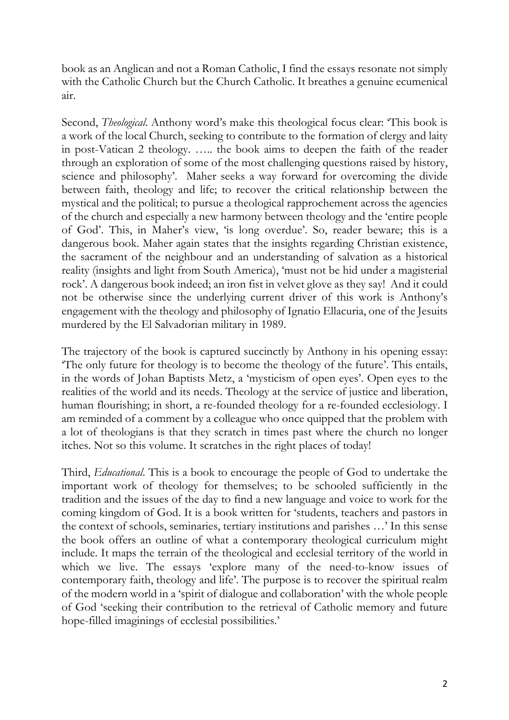book as an Anglican and not a Roman Catholic, I find the essays resonate not simply with the Catholic Church but the Church Catholic. It breathes a genuine ecumenical air.

Second, *Theological*. Anthony word's make this theological focus clear: 'This book is a work of the local Church, seeking to contribute to the formation of clergy and laity in post-Vatican 2 theology. ….. the book aims to deepen the faith of the reader through an exploration of some of the most challenging questions raised by history, science and philosophy'. Maher seeks a way forward for overcoming the divide between faith, theology and life; to recover the critical relationship between the mystical and the political; to pursue a theological rapprochement across the agencies of the church and especially a new harmony between theology and the 'entire people of God'. This, in Maher's view, 'is long overdue'. So, reader beware; this is a dangerous book. Maher again states that the insights regarding Christian existence, the sacrament of the neighbour and an understanding of salvation as a historical reality (insights and light from South America), 'must not be hid under a magisterial rock'. A dangerous book indeed; an iron fist in velvet glove as they say! And it could not be otherwise since the underlying current driver of this work is Anthony's engagement with the theology and philosophy of Ignatio Ellacuria, one of the Jesuits murdered by the El Salvadorian military in 1989.

The trajectory of the book is captured succinctly by Anthony in his opening essay: 'The only future for theology is to become the theology of the future'. This entails, in the words of Johan Baptists Metz, a 'mysticism of open eyes'. Open eyes to the realities of the world and its needs. Theology at the service of justice and liberation, human flourishing; in short, a re-founded theology for a re-founded ecclesiology. I am reminded of a comment by a colleague who once quipped that the problem with a lot of theologians is that they scratch in times past where the church no longer itches. Not so this volume. It scratches in the right places of today!

Third, *Educational*. This is a book to encourage the people of God to undertake the important work of theology for themselves; to be schooled sufficiently in the tradition and the issues of the day to find a new language and voice to work for the coming kingdom of God. It is a book written for 'students, teachers and pastors in the context of schools, seminaries, tertiary institutions and parishes …' In this sense the book offers an outline of what a contemporary theological curriculum might include. It maps the terrain of the theological and ecclesial territory of the world in which we live. The essays 'explore many of the need-to-know issues of contemporary faith, theology and life'. The purpose is to recover the spiritual realm of the modern world in a 'spirit of dialogue and collaboration' with the whole people of God 'seeking their contribution to the retrieval of Catholic memory and future hope-filled imaginings of ecclesial possibilities.'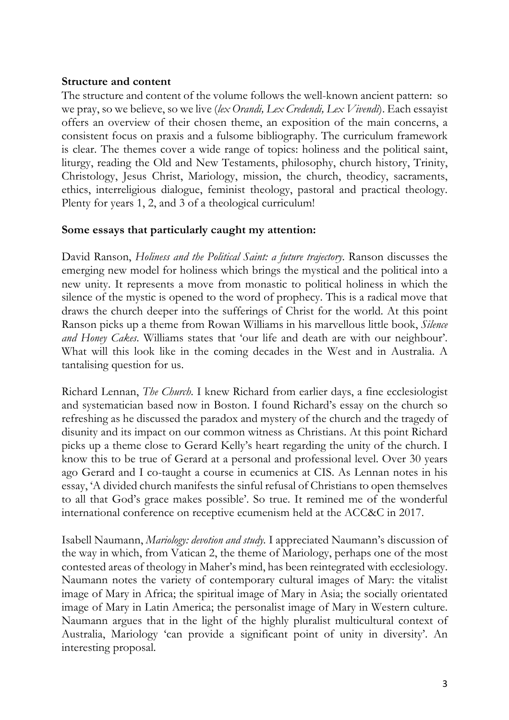### **Structure and content**

The structure and content of the volume follows the well-known ancient pattern: so we pray, so we believe, so we live (*lex Orandi, Lex Credendi, Lex Vivendi*). Each essayist offers an overview of their chosen theme, an exposition of the main concerns, a consistent focus on praxis and a fulsome bibliography. The curriculum framework is clear. The themes cover a wide range of topics: holiness and the political saint, liturgy, reading the Old and New Testaments, philosophy, church history, Trinity, Christology, Jesus Christ, Mariology, mission, the church, theodicy, sacraments, ethics, interreligious dialogue, feminist theology, pastoral and practical theology. Plenty for years 1, 2, and 3 of a theological curriculum!

# **Some essays that particularly caught my attention:**

David Ranson, *Holiness and the Political Saint: a future trajectory*. Ranson discusses the emerging new model for holiness which brings the mystical and the political into a new unity. It represents a move from monastic to political holiness in which the silence of the mystic is opened to the word of prophecy. This is a radical move that draws the church deeper into the sufferings of Christ for the world. At this point Ranson picks up a theme from Rowan Williams in his marvellous little book, *Silence and Honey Cakes*. Williams states that 'our life and death are with our neighbour'. What will this look like in the coming decades in the West and in Australia. A tantalising question for us.

Richard Lennan, *The Church*. I knew Richard from earlier days, a fine ecclesiologist and systematician based now in Boston. I found Richard's essay on the church so refreshing as he discussed the paradox and mystery of the church and the tragedy of disunity and its impact on our common witness as Christians. At this point Richard picks up a theme close to Gerard Kelly's heart regarding the unity of the church. I know this to be true of Gerard at a personal and professional level. Over 30 years ago Gerard and I co-taught a course in ecumenics at CIS. As Lennan notes in his essay, 'A divided church manifests the sinful refusal of Christians to open themselves to all that God's grace makes possible'. So true. It remined me of the wonderful international conference on receptive ecumenism held at the ACC&C in 2017.

Isabell Naumann, *Mariology: devotion and study.* I appreciated Naumann's discussion of the way in which, from Vatican 2, the theme of Mariology, perhaps one of the most contested areas of theology in Maher's mind, has been reintegrated with ecclesiology. Naumann notes the variety of contemporary cultural images of Mary: the vitalist image of Mary in Africa; the spiritual image of Mary in Asia; the socially orientated image of Mary in Latin America; the personalist image of Mary in Western culture. Naumann argues that in the light of the highly pluralist multicultural context of Australia, Mariology 'can provide a significant point of unity in diversity'. An interesting proposal.